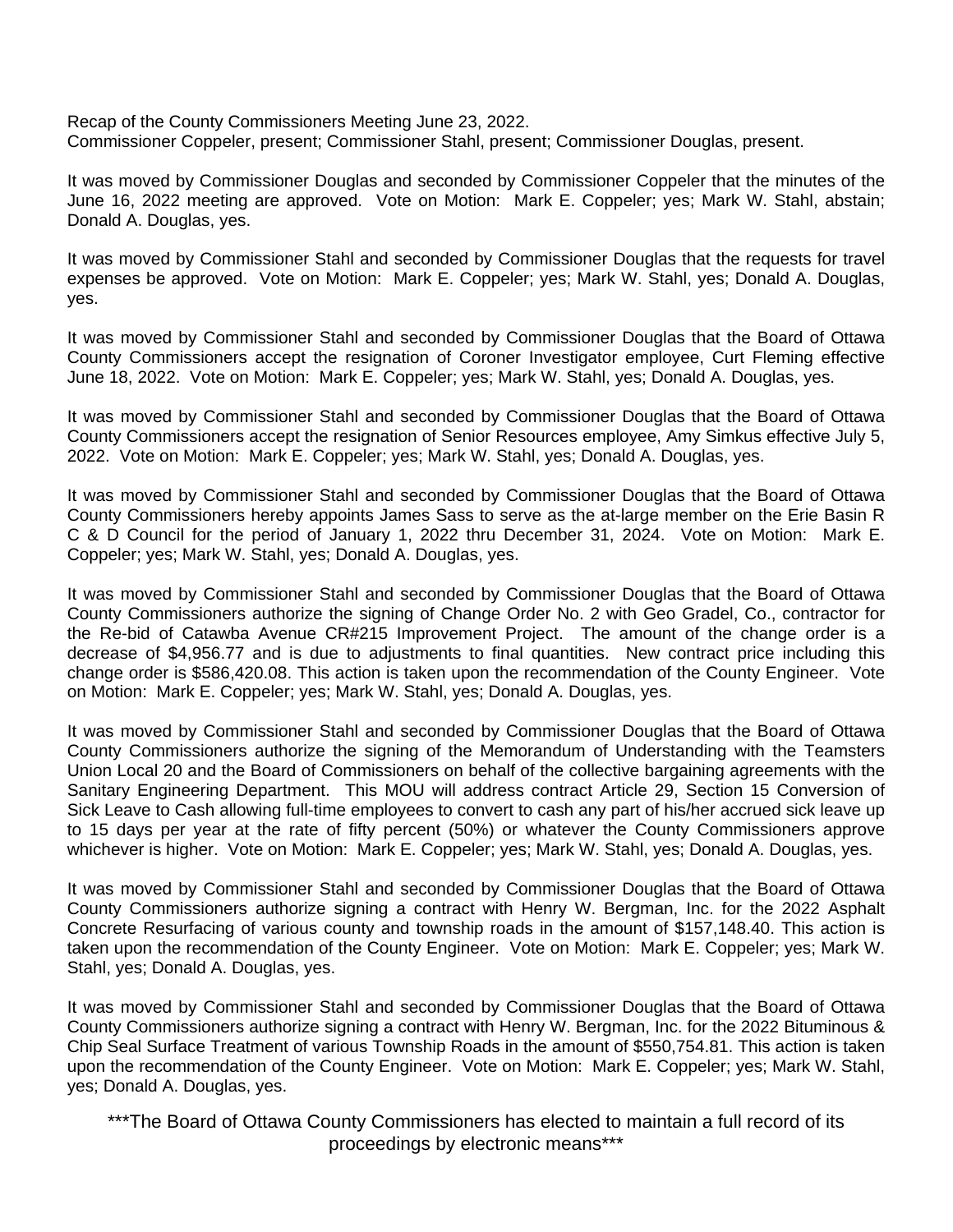Recap of the County Commissioners Meeting June 23, 2022. Commissioner Coppeler, present; Commissioner Stahl, present; Commissioner Douglas, present.

It was moved by Commissioner Douglas and seconded by Commissioner Coppeler that the minutes of the June 16, 2022 meeting are approved. Vote on Motion: Mark E. Coppeler; yes; Mark W. Stahl, abstain; Donald A. Douglas, yes.

It was moved by Commissioner Stahl and seconded by Commissioner Douglas that the requests for travel expenses be approved. Vote on Motion: Mark E. Coppeler; yes; Mark W. Stahl, yes; Donald A. Douglas, yes.

It was moved by Commissioner Stahl and seconded by Commissioner Douglas that the Board of Ottawa County Commissioners accept the resignation of Coroner Investigator employee, Curt Fleming effective June 18, 2022. Vote on Motion: Mark E. Coppeler; yes; Mark W. Stahl, yes; Donald A. Douglas, yes.

It was moved by Commissioner Stahl and seconded by Commissioner Douglas that the Board of Ottawa County Commissioners accept the resignation of Senior Resources employee, Amy Simkus effective July 5, 2022. Vote on Motion: Mark E. Coppeler; yes; Mark W. Stahl, yes; Donald A. Douglas, yes.

It was moved by Commissioner Stahl and seconded by Commissioner Douglas that the Board of Ottawa County Commissioners hereby appoints James Sass to serve as the at-large member on the Erie Basin R C & D Council for the period of January 1, 2022 thru December 31, 2024. Vote on Motion: Mark E. Coppeler; yes; Mark W. Stahl, yes; Donald A. Douglas, yes.

It was moved by Commissioner Stahl and seconded by Commissioner Douglas that the Board of Ottawa County Commissioners authorize the signing of Change Order No. 2 with Geo Gradel, Co., contractor for the Re-bid of Catawba Avenue CR#215 Improvement Project. The amount of the change order is a decrease of \$4,956.77 and is due to adjustments to final quantities. New contract price including this change order is \$586,420.08. This action is taken upon the recommendation of the County Engineer. Vote on Motion: Mark E. Coppeler; yes; Mark W. Stahl, yes; Donald A. Douglas, yes.

It was moved by Commissioner Stahl and seconded by Commissioner Douglas that the Board of Ottawa County Commissioners authorize the signing of the Memorandum of Understanding with the Teamsters Union Local 20 and the Board of Commissioners on behalf of the collective bargaining agreements with the Sanitary Engineering Department. This MOU will address contract Article 29, Section 15 Conversion of Sick Leave to Cash allowing full-time employees to convert to cash any part of his/her accrued sick leave up to 15 days per year at the rate of fifty percent (50%) or whatever the County Commissioners approve whichever is higher. Vote on Motion: Mark E. Coppeler; yes; Mark W. Stahl, yes; Donald A. Douglas, yes.

It was moved by Commissioner Stahl and seconded by Commissioner Douglas that the Board of Ottawa County Commissioners authorize signing a contract with Henry W. Bergman, Inc. for the 2022 Asphalt Concrete Resurfacing of various county and township roads in the amount of \$157,148.40. This action is taken upon the recommendation of the County Engineer. Vote on Motion: Mark E. Coppeler; yes; Mark W. Stahl, yes; Donald A. Douglas, yes.

It was moved by Commissioner Stahl and seconded by Commissioner Douglas that the Board of Ottawa County Commissioners authorize signing a contract with Henry W. Bergman, Inc. for the 2022 Bituminous & Chip Seal Surface Treatment of various Township Roads in the amount of \$550,754.81. This action is taken upon the recommendation of the County Engineer. Vote on Motion: Mark E. Coppeler; yes; Mark W. Stahl, yes; Donald A. Douglas, yes.

\*\*\*The Board of Ottawa County Commissioners has elected to maintain a full record of its proceedings by electronic means\*\*\*